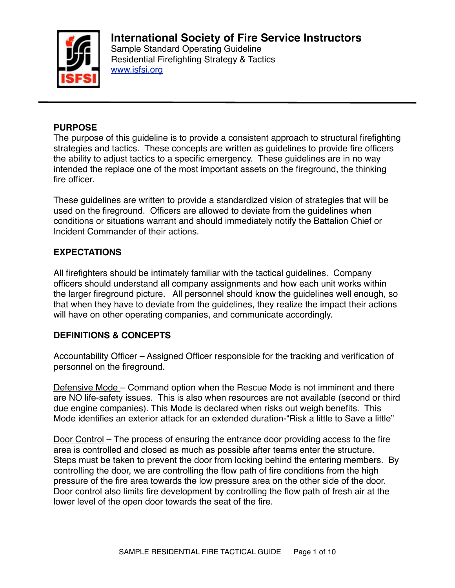

### **PURPOSE**

The purpose of this guideline is to provide a consistent approach to structural firefighting strategies and tactics. These concepts are written as guidelines to provide fire officers the ability to adjust tactics to a specific emergency. These guidelines are in no way intended the replace one of the most important assets on the fireground, the thinking fire officer.

These guidelines are written to provide a standardized vision of strategies that will be used on the fireground. Officers are allowed to deviate from the guidelines when conditions or situations warrant and should immediately notify the Battalion Chief or Incident Commander of their actions.

### **EXPECTATIONS**

All firefighters should be intimately familiar with the tactical guidelines. Company officers should understand all company assignments and how each unit works within the larger fireground picture. All personnel should know the guidelines well enough, so that when they have to deviate from the guidelines, they realize the impact their actions will have on other operating companies, and communicate accordingly.

#### **DEFINITIONS & CONCEPTS**

Accountability Officer – Assigned Officer responsible for the tracking and verification of personnel on the fireground.

Defensive Mode – Command option when the Rescue Mode is not imminent and there are NO life-safety issues. This is also when resources are not available (second or third due engine companies). This Mode is declared when risks out weigh benefits. This Mode identifies an exterior attack for an extended duration-"Risk a little to Save a little"

Door Control – The process of ensuring the entrance door providing access to the fire area is controlled and closed as much as possible after teams enter the structure. Steps must be taken to prevent the door from locking behind the entering members. By controlling the door, we are controlling the flow path of fire conditions from the high pressure of the fire area towards the low pressure area on the other side of the door. Door control also limits fire development by controlling the flow path of fresh air at the lower level of the open door towards the seat of the fire.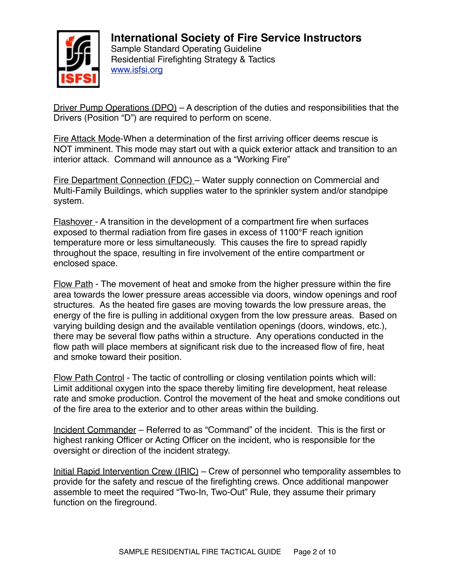

Driver Pump Operations (DPO) – A description of the duties and responsibilities that the Drivers (Position "D") are required to perform on scene.

Fire Attack Mode-When a determination of the first arriving officer deems rescue is NOT imminent. This mode may start out with a quick exterior attack and transition to an interior attack. Command will announce as a "Working Fire"

Fire Department Connection (FDC) – Water supply connection on Commercial and Multi-Family Buildings, which supplies water to the sprinkler system and/or standpipe system.

Flashover - A transition in the development of a compartment fire when surfaces exposed to thermal radiation from fire gases in excess of 1100°F reach ignition temperature more or less simultaneously. This causes the fire to spread rapidly throughout the space, resulting in fire involvement of the entire compartment or enclosed space.

Flow Path - The movement of heat and smoke from the higher pressure within the fire area towards the lower pressure areas accessible via doors, window openings and roof structures. As the heated fire gases are moving towards the low pressure areas, the energy of the fire is pulling in additional oxygen from the low pressure areas. Based on varying building design and the available ventilation openings (doors, windows, etc.), there may be several flow paths within a structure. Any operations conducted in the flow path will place members at significant risk due to the increased flow of fire, heat and smoke toward their position.

Flow Path Control - The tactic of controlling or closing ventilation points which will: Limit additional oxygen into the space thereby limiting fire development, heat release rate and smoke production. Control the movement of the heat and smoke conditions out of the fire area to the exterior and to other areas within the building.

Incident Commander – Referred to as "Command" of the incident. This is the first or highest ranking Officer or Acting Officer on the incident, who is responsible for the oversight or direction of the incident strategy.

Initial Rapid Intervention Crew (IRIC) – Crew of personnel who temporality assembles to provide for the safety and rescue of the firefighting crews. Once additional manpower assemble to meet the required "Two-In, Two-Out" Rule, they assume their primary function on the fireground.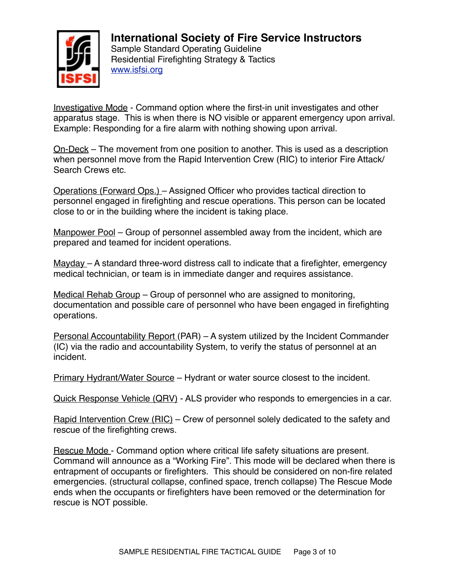

Investigative Mode - Command option where the first-in unit investigates and other apparatus stage. This is when there is NO visible or apparent emergency upon arrival. Example: Responding for a fire alarm with nothing showing upon arrival.

On-Deck – The movement from one position to another. This is used as a description when personnel move from the Rapid Intervention Crew (RIC) to interior Fire Attack/ Search Crews etc.

Operations (Forward Ops.) – Assigned Officer who provides tactical direction to personnel engaged in firefighting and rescue operations. This person can be located close to or in the building where the incident is taking place.

Manpower Pool – Group of personnel assembled away from the incident, which are prepared and teamed for incident operations.

 $Mayday - A standard three-word distances call to indicate that a firefighter, emergency$ medical technician, or team is in immediate danger and requires assistance.

Medical Rehab Group – Group of personnel who are assigned to monitoring, documentation and possible care of personnel who have been engaged in firefighting operations.

Personal Accountability Report (PAR) – A system utilized by the Incident Commander (IC) via the radio and accountability System, to verify the status of personnel at an incident.

Primary Hydrant/Water Source – Hydrant or water source closest to the incident.

Quick Response Vehicle (QRV) - ALS provider who responds to emergencies in a car.

Rapid Intervention Crew (RIC) – Crew of personnel solely dedicated to the safety and rescue of the firefighting crews.

Rescue Mode - Command option where critical life safety situations are present. Command will announce as a "Working Fire". This mode will be declared when there is entrapment of occupants or firefighters. This should be considered on non-fire related emergencies. (structural collapse, confined space, trench collapse) The Rescue Mode ends when the occupants or firefighters have been removed or the determination for rescue is NOT possible.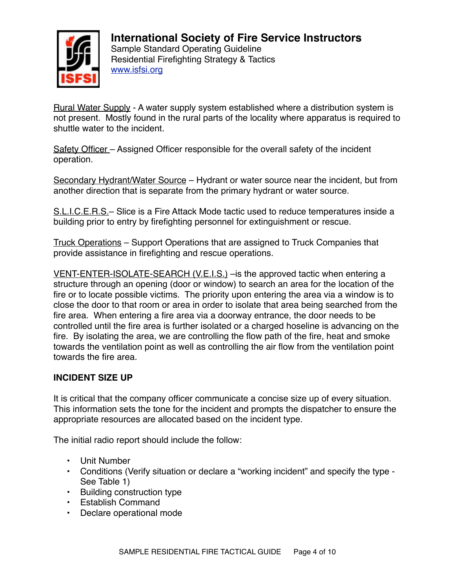

Rural Water Supply - A water supply system established where a distribution system is not present. Mostly found in the rural parts of the locality where apparatus is required to shuttle water to the incident.

Safety Officer – Assigned Officer responsible for the overall safety of the incident operation.

Secondary Hydrant/Water Source – Hydrant or water source near the incident, but from another direction that is separate from the primary hydrant or water source.

S.L.I.C.E.R.S.– Slice is a Fire Attack Mode tactic used to reduce temperatures inside a building prior to entry by firefighting personnel for extinguishment or rescue.

Truck Operations – Support Operations that are assigned to Truck Companies that provide assistance in firefighting and rescue operations.

VENT-ENTER-ISOLATE-SEARCH (V.E.I.S.) –is the approved tactic when entering a structure through an opening (door or window) to search an area for the location of the fire or to locate possible victims. The priority upon entering the area via a window is to close the door to that room or area in order to isolate that area being searched from the fire area. When entering a fire area via a doorway entrance, the door needs to be controlled until the fire area is further isolated or a charged hoseline is advancing on the fire. By isolating the area, we are controlling the flow path of the fire, heat and smoke towards the ventilation point as well as controlling the air flow from the ventilation point towards the fire area.

## **INCIDENT SIZE UP**

It is critical that the company officer communicate a concise size up of every situation. This information sets the tone for the incident and prompts the dispatcher to ensure the appropriate resources are allocated based on the incident type.

The initial radio report should include the follow:

- Unit Number
- Conditions (Verify situation or declare a "working incident" and specify the type See Table 1)
- Building construction type
- Establish Command
- Declare operational mode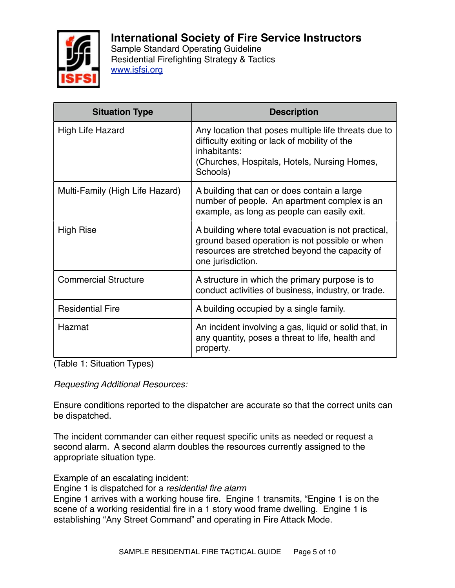

Sample Standard Operating Guideline Residential Firefighting Strategy & Tactics [www.isfsi.org](http://www.isfsi.org)

| <b>Situation Type</b>           | <b>Description</b>                                                                                                                                                                |
|---------------------------------|-----------------------------------------------------------------------------------------------------------------------------------------------------------------------------------|
| <b>High Life Hazard</b>         | Any location that poses multiple life threats due to<br>difficulty exiting or lack of mobility of the<br>inhabitants:<br>(Churches, Hospitals, Hotels, Nursing Homes,<br>Schools) |
| Multi-Family (High Life Hazard) | A building that can or does contain a large<br>number of people. An apartment complex is an<br>example, as long as people can easily exit.                                        |
| <b>High Rise</b>                | A building where total evacuation is not practical,<br>ground based operation is not possible or when<br>resources are stretched beyond the capacity of<br>one jurisdiction.      |
| <b>Commercial Structure</b>     | A structure in which the primary purpose is to<br>conduct activities of business, industry, or trade.                                                                             |
| <b>Residential Fire</b>         | A building occupied by a single family.                                                                                                                                           |
| Hazmat                          | An incident involving a gas, liquid or solid that, in<br>any quantity, poses a threat to life, health and<br>property.                                                            |

(Table 1: Situation Types)

*Requesting Additional Resources:*

Ensure conditions reported to the dispatcher are accurate so that the correct units can be dispatched.

The incident commander can either request specific units as needed or request a second alarm. A second alarm doubles the resources currently assigned to the appropriate situation type.

Example of an escalating incident:

Engine 1 is dispatched for a *residential fire alarm*

Engine 1 arrives with a working house fire. Engine 1 transmits, "Engine 1 is on the scene of a working residential fire in a 1 story wood frame dwelling. Engine 1 is establishing "Any Street Command" and operating in Fire Attack Mode.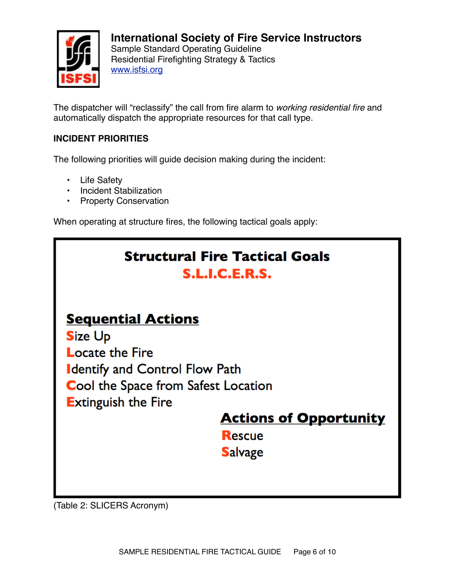

Sample Standard Operating Guideline Residential Firefighting Strategy & Tactics [www.isfsi.org](http://www.isfsi.org)

The dispatcher will "reclassify" the call from fire alarm to *working residential fire* and automatically dispatch the appropriate resources for that call type.

# **INCIDENT PRIORITIES**

The following priorities will guide decision making during the incident:

- Life Safety
- Incident Stabilization
- Property Conservation

When operating at structure fires, the following tactical goals apply:

# **Structural Fire Tactical Goals** S.L.I.C.E.R.S.

# **Sequential Actions**

**Size Up Locate the Fire Identify and Control Flow Path Cool the Space from Safest Location Extinguish the Fire** 

# **Actions of Opportunity**

**Rescue Salvage** 

(Table 2: SLICERS Acronym)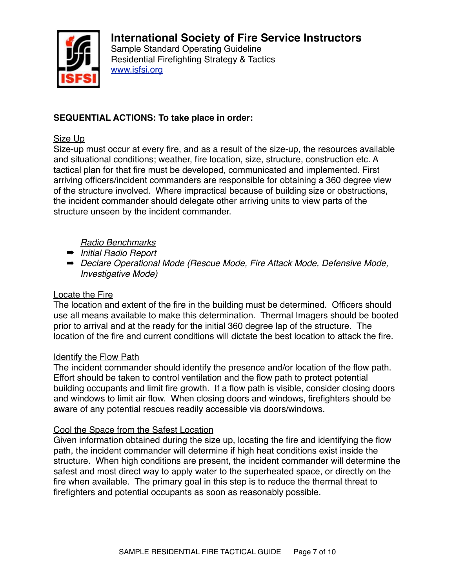

Sample Standard Operating Guideline Residential Firefighting Strategy & Tactics [www.isfsi.org](http://www.isfsi.org)

## **SEQUENTIAL ACTIONS: To take place in order:**

### Size Up

Size-up must occur at every fire, and as a result of the size-up, the resources available and situational conditions; weather, fire location, size, structure, construction etc. A tactical plan for that fire must be developed, communicated and implemented. First arriving officers/incident commanders are responsible for obtaining a 360 degree view of the structure involved. Where impractical because of building size or obstructions, the incident commander should delegate other arriving units to view parts of the structure unseen by the incident commander.

## *Radio Benchmarks*

- ➡ *Initial Radio Report*
- ➡ *Declare Operational Mode (Rescue Mode, Fire Attack Mode, Defensive Mode, Investigative Mode)*

### Locate the Fire

The location and extent of the fire in the building must be determined. Officers should use all means available to make this determination. Thermal Imagers should be booted prior to arrival and at the ready for the initial 360 degree lap of the structure. The location of the fire and current conditions will dictate the best location to attack the fire.

#### Identify the Flow Path

The incident commander should identify the presence and/or location of the flow path. Effort should be taken to control ventilation and the flow path to protect potential building occupants and limit fire growth. If a flow path is visible, consider closing doors and windows to limit air flow. When closing doors and windows, firefighters should be aware of any potential rescues readily accessible via doors/windows.

#### Cool the Space from the Safest Location

Given information obtained during the size up, locating the fire and identifying the flow path, the incident commander will determine if high heat conditions exist inside the structure. When high conditions are present, the incident commander will determine the safest and most direct way to apply water to the superheated space, or directly on the fire when available. The primary goal in this step is to reduce the thermal threat to firefighters and potential occupants as soon as reasonably possible.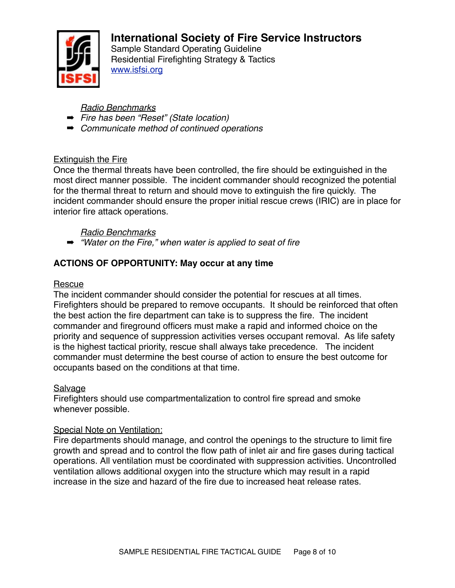![](_page_7_Picture_0.jpeg)

Sample Standard Operating Guideline Residential Firefighting Strategy & Tactics [www.isfsi.org](http://www.isfsi.org)

*Radio Benchmarks*

- ➡ *Fire has been "Reset" (State location)*
- ➡ *Communicate method of continued operations*

# Extinguish the Fire

Once the thermal threats have been controlled, the fire should be extinguished in the most direct manner possible. The incident commander should recognized the potential for the thermal threat to return and should move to extinguish the fire quickly. The incident commander should ensure the proper initial rescue crews (IRIC) are in place for interior fire attack operations.

*Radio Benchmarks*

➡ *"Water on the Fire," when water is applied to seat of fire*

# **ACTIONS OF OPPORTUNITY: May occur at any time**

## Rescue

The incident commander should consider the potential for rescues at all times. Firefighters should be prepared to remove occupants. It should be reinforced that often the best action the fire department can take is to suppress the fire. The incident commander and fireground officers must make a rapid and informed choice on the priority and sequence of suppression activities verses occupant removal. As life safety is the highest tactical priority, rescue shall always take precedence. The incident commander must determine the best course of action to ensure the best outcome for occupants based on the conditions at that time.

## **Salvage**

Firefighters should use compartmentalization to control fire spread and smoke whenever possible.

# Special Note on Ventilation:

Fire departments should manage, and control the openings to the structure to limit fire growth and spread and to control the flow path of inlet air and fire gases during tactical operations. All ventilation must be coordinated with suppression activities. Uncontrolled ventilation allows additional oxygen into the structure which may result in a rapid increase in the size and hazard of the fire due to increased heat release rates.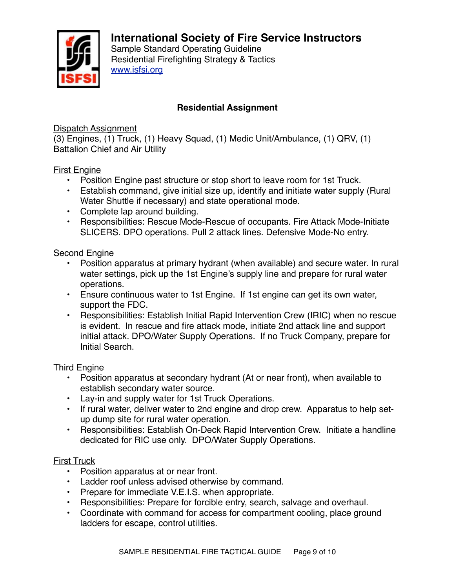![](_page_8_Picture_0.jpeg)

Sample Standard Operating Guideline Residential Firefighting Strategy & Tactics [www.isfsi.org](http://www.isfsi.org)

## **Residential Assignment**

Dispatch Assignment

(3) Engines, (1) Truck, (1) Heavy Squad, (1) Medic Unit/Ambulance, (1) QRV, (1) Battalion Chief and Air Utility

## First Engine

- Position Engine past structure or stop short to leave room for 1st Truck.
- Establish command, give initial size up, identify and initiate water supply (Rural Water Shuttle if necessary) and state operational mode.
- Complete lap around building.
- Responsibilities: Rescue Mode-Rescue of occupants. Fire Attack Mode-Initiate SLICERS. DPO operations. Pull 2 attack lines. Defensive Mode-No entry.

#### Second Engine

- Position apparatus at primary hydrant (when available) and secure water. In rural water settings, pick up the 1st Engine's supply line and prepare for rural water operations.
- Ensure continuous water to 1st Engine. If 1st engine can get its own water, support the FDC.
- Responsibilities: Establish Initial Rapid Intervention Crew (IRIC) when no rescue is evident. In rescue and fire attack mode, initiate 2nd attack line and support initial attack. DPO/Water Supply Operations. If no Truck Company, prepare for Initial Search.

#### Third Engine

- Position apparatus at secondary hydrant (At or near front), when available to establish secondary water source.
- Lay-in and supply water for 1st Truck Operations.
- If rural water, deliver water to 2nd engine and drop crew. Apparatus to help setup dump site for rural water operation.
- Responsibilities: Establish On-Deck Rapid Intervention Crew. Initiate a handline dedicated for RIC use only. DPO/Water Supply Operations.

## First Truck

- Position apparatus at or near front.
- Ladder roof unless advised otherwise by command.
- Prepare for immediate V.E.I.S. when appropriate.
- Responsibilities: Prepare for forcible entry, search, salvage and overhaul.
- Coordinate with command for access for compartment cooling, place ground ladders for escape, control utilities.